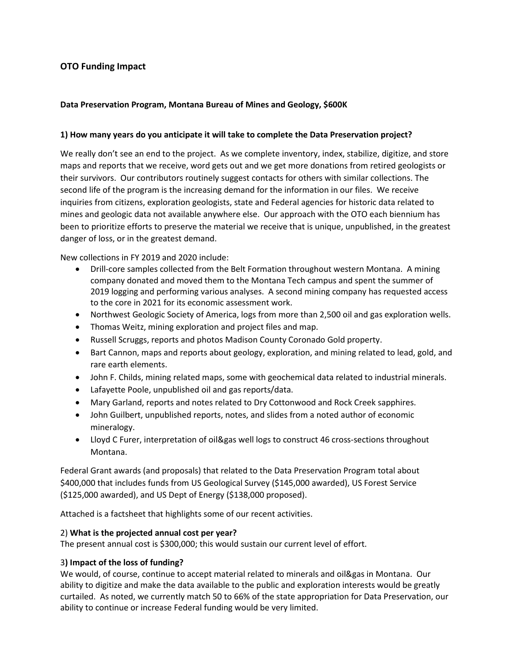# **OTO Funding Impact**

## **Data Preservation Program, Montana Bureau of Mines and Geology, \$600K**

## **1) How many years do you anticipate it will take to complete the Data Preservation project?**

We really don't see an end to the project. As we complete inventory, index, stabilize, digitize, and store maps and reports that we receive, word gets out and we get more donations from retired geologists or their survivors. Our contributors routinely suggest contacts for others with similar collections. The second life of the program is the increasing demand for the information in our files. We receive inquiries from citizens, exploration geologists, state and Federal agencies for historic data related to mines and geologic data not available anywhere else. Our approach with the OTO each biennium has been to prioritize efforts to preserve the material we receive that is unique, unpublished, in the greatest danger of loss, or in the greatest demand.

New collections in FY 2019 and 2020 include:

- Drill-core samples collected from the Belt Formation throughout western Montana. A mining company donated and moved them to the Montana Tech campus and spent the summer of 2019 logging and performing various analyses. A second mining company has requested access to the core in 2021 for its economic assessment work.
- Northwest Geologic Society of America, logs from more than 2,500 oil and gas exploration wells.
- Thomas Weitz, mining exploration and project files and map.
- Russell Scruggs, reports and photos Madison County Coronado Gold property.
- Bart Cannon, maps and reports about geology, exploration, and mining related to lead, gold, and rare earth elements.
- John F. Childs, mining related maps, some with geochemical data related to industrial minerals.
- Lafayette Poole, unpublished oil and gas reports/data.
- Mary Garland, reports and notes related to Dry Cottonwood and Rock Creek sapphires.
- John Guilbert, unpublished reports, notes, and slides from a noted author of economic mineralogy.
- Lloyd C Furer, interpretation of oil&gas well logs to construct 46 cross-sections throughout Montana.

Federal Grant awards (and proposals) that related to the Data Preservation Program total about \$400,000 that includes funds from US Geological Survey (\$145,000 awarded), US Forest Service (\$125,000 awarded), and US Dept of Energy (\$138,000 proposed).

Attached is a factsheet that highlights some of our recent activities.

## 2) **What is the projected annual cost per year?**

The present annual cost is \$300,000; this would sustain our current level of effort.

## 3**) Impact of the loss of funding?**

We would, of course, continue to accept material related to minerals and oil&gas in Montana. Our ability to digitize and make the data available to the public and exploration interests would be greatly curtailed. As noted, we currently match 50 to 66% of the state appropriation for Data Preservation, our ability to continue or increase Federal funding would be very limited.